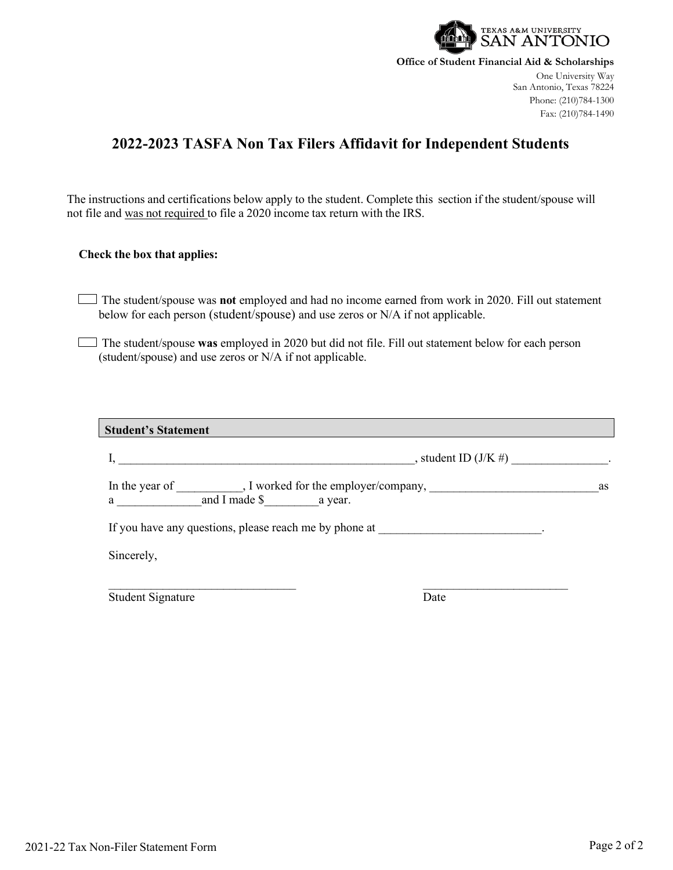

**Office of Student Financial Aid & Scholarships**

One University Way San Antonio, Texas 78224 Phone: (210)784-1300 Fax: (210)784-1490

## **2022-2023 TASFA Non Tax Filers Affidavit for Independent Students**

The instructions and certifications below apply to the student. Complete this section if the student/spouse will not file and was not required to file a 2020 income tax return with the IRS.

## **Check the box that applies:**

The student/spouse was **not** employed and had no income earned from work in 2020. Fill out statement below for each person (student/spouse) and use zeros or N/A if not applicable.

The student/spouse **was** employed in 2020 but did not file. Fill out statement below for each person (student/spouse) and use zeros or N/A if not applicable.

| <b>Student's Statement</b>                             |                          |  |
|--------------------------------------------------------|--------------------------|--|
|                                                        | $, student ID(J/K \#)$ . |  |
| $a \_$ and I made $\frac{1}{2}$ a year.                | as                       |  |
| If you have any questions, please reach me by phone at |                          |  |
| Sincerely,                                             |                          |  |
| <b>Student Signature</b>                               | Date                     |  |